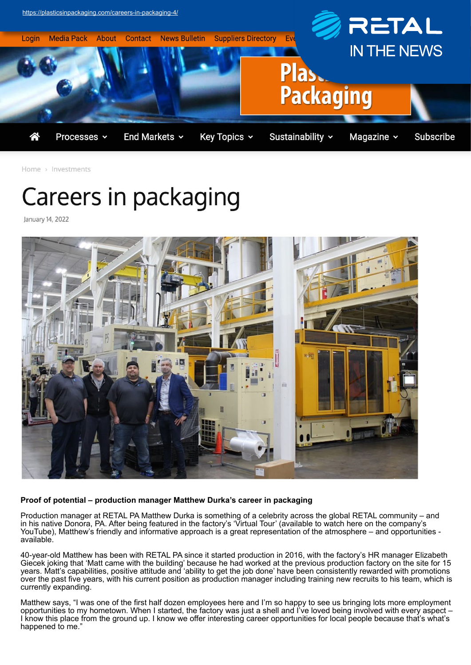

Home > Investments

## Careers in packaging

January 14, 2022



## **Proof of potential – production manager Matthew Durka's career in packaging**

Production manager at RETAL PA Matthew Durka is something of a celebrity across the global RETAL community – and in his native Donora, PA. After being featured in the factory's 'Virtual Tour' (available to watch here on the company's YouTube), Matthew's friendly and informative approach is a great representation of the atmosphere – and opportunities available.

40-year-old Matthew has been with RETAL PA since it started production in 2016, with the factory's HR manager Elizabeth Giecek joking that 'Matt came with the building' because he had worked at the previous production factory on the site for 15 years. Matt's capabilities, positive attitude and 'ability to get the job done' have been consistently rewarded with promotions over the past five years, with his current position as production manager including training new recruits to his team, which is currently expanding.

Matthew says, "I was one of the first half dozen employees here and I'm so happy to see us bringing lots more employment opportunities to my hometown. When I started, the factory was just a shell and I've loved being involved with every aspect – I know this place from the ground up. I know we offer interesting career opportunities for local people because that's what's happened to me."